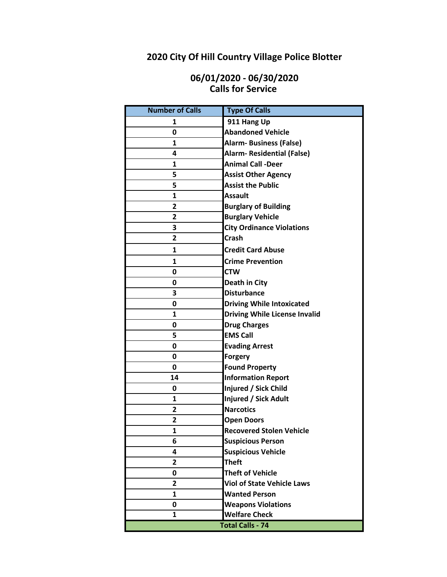# **2020 City Of Hill Country Village Police Blotter**

### **06/01/2020 - 06/30/2020 Calls for Service**

| <b>Number of Calls</b> | <b>Type Of Calls</b>                 |
|------------------------|--------------------------------------|
| 1                      | 911 Hang Up                          |
| 0                      | <b>Abandoned Vehicle</b>             |
| $\mathbf{1}$           | <b>Alarm- Business (False)</b>       |
| 4                      | <b>Alarm- Residential (False)</b>    |
| 1                      | <b>Animal Call -Deer</b>             |
| 5                      | <b>Assist Other Agency</b>           |
| 5                      | <b>Assist the Public</b>             |
| 1                      | <b>Assault</b>                       |
| 2                      | <b>Burglary of Building</b>          |
| 2                      | <b>Burglary Vehicle</b>              |
| 3                      | <b>City Ordinance Violations</b>     |
| $\overline{2}$         | <b>Crash</b>                         |
| $\mathbf{1}$           | <b>Credit Card Abuse</b>             |
| $\mathbf{1}$           | <b>Crime Prevention</b>              |
| 0                      | <b>CTW</b>                           |
| 0                      | Death in City                        |
| 3                      | <b>Disturbance</b>                   |
| 0                      | <b>Driving While Intoxicated</b>     |
| $\mathbf{1}$           | <b>Driving While License Invalid</b> |
| 0                      | <b>Drug Charges</b>                  |
| 5                      | <b>EMS Call</b>                      |
| 0                      | <b>Evading Arrest</b>                |
| 0                      | <b>Forgery</b>                       |
| 0                      | <b>Found Property</b>                |
| 14                     | <b>Information Report</b>            |
| 0                      | Injured / Sick Child                 |
| 1                      | Injured / Sick Adult                 |
| 2                      | <b>Narcotics</b>                     |
| 2                      | <b>Open Doors</b>                    |
| 1                      | <b>Recovered Stolen Vehicle</b>      |
| 6                      | <b>Suspicious Person</b>             |
| 4                      | <b>Suspicious Vehicle</b>            |
| 2                      | <b>Theft</b>                         |
| 0                      | <b>Theft of Vehicle</b>              |
| $\mathbf{2}$           | <b>Viol of State Vehicle Laws</b>    |
| 1                      | <b>Wanted Person</b>                 |
| 0                      | <b>Weapons Violations</b>            |
| $\mathbf{1}$           | <b>Welfare Check</b>                 |
|                        | <b>Total Calls - 74</b>              |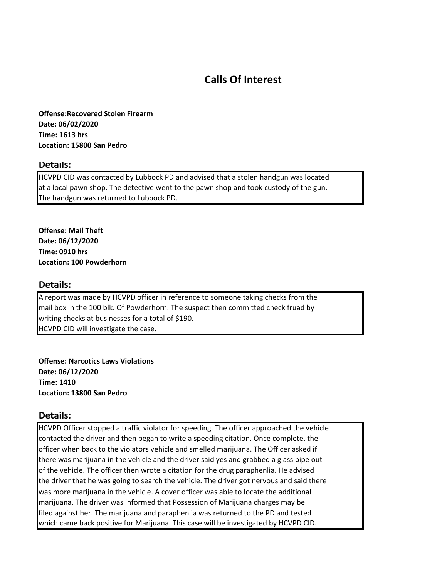## **Calls Of Interest**

**Offense:Recovered Stolen Firearm Date: 06/02/2020 Time: 1613 hrs Location: 15800 San Pedro**

#### **Details:**

HCVPD CID was contacted by Lubbock PD and advised that a stolen handgun was located at a local pawn shop. The detective went to the pawn shop and took custody of the gun. The handgun was returned to Lubbock PD.

**Offense: Mail Theft Date: 06/12/2020 Time: 0910 hrs Location: 100 Powderhorn**

### **Details:**

A report was made by HCVPD officer in reference to someone taking checks from the mail box in the 100 blk. Of Powderhorn. The suspect then committed check fruad by writing checks at businesses for a total of \$190. HCVPD CID will investigate the case.

**Offense: Narcotics Laws Violations Date: 06/12/2020 Time: 1410 Location: 13800 San Pedro**

#### **Details:**

HCVPD Officer stopped a traffic violator for speeding. The officer approached the vehicle contacted the driver and then began to write a speeding citation. Once complete, the officer when back to the violators vehicle and smelled marijuana. The Officer asked if there was marijuana in the vehicle and the driver said yes and grabbed a glass pipe out of the vehicle. The officer then wrote a citation for the drug paraphenlia. He advised the driver that he was going to search the vehicle. The driver got nervous and said there was more marijuana in the vehicle. A cover officer was able to locate the additional marijuana. The driver was informed that Possession of Marijuana charges may be filed against her. The marijuana and paraphenlia was returned to the PD and tested which came back positive for Marijuana. This case will be investigated by HCVPD CID.